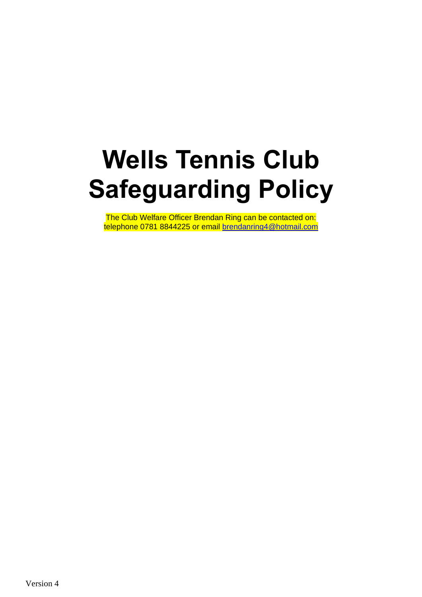# **Wells Tennis Club Safeguarding Policy**

The Club Welfare Officer Brendan Ring can be contacted on: telephone 0781 8844225 or email [brendanring4@hotmail.com](mailto:brendanring4@hotmail.com)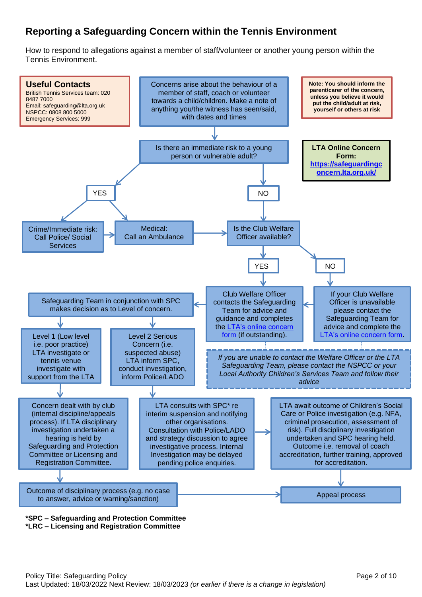# **Reporting a Safeguarding Concern within the Tennis Environment**

How to respond to allegations against a member of staff/volunteer or another young person within the Tennis Environment.



**\*LRC – Licensing and Registration Committee**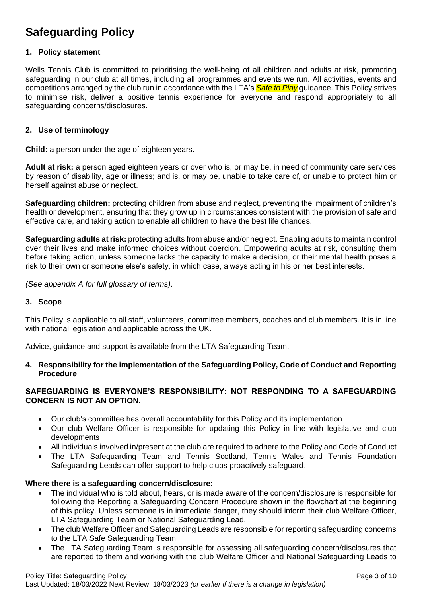# **Safeguarding Policy**

#### **1. Policy statement**

Wells Tennis Club is committed to prioritising the well-being of all children and adults at risk, promoting safeguarding in our club at all times, including all programmes and events we run. All activities, events and competitions arranged by the club run in accordance with the LTA's *Safe to Play* guidance. This Policy strives to minimise risk, deliver a positive tennis experience for everyone and respond appropriately to all safeguarding concerns/disclosures.

#### **2. Use of terminology**

**Child:** a person under the age of eighteen years.

**Adult at risk:** a person aged eighteen years or over who is, or may be, in need of community care services by reason of disability, age or illness; and is, or may be, unable to take care of, or unable to protect him or herself against abuse or neglect.

**Safeguarding children:** protecting children from abuse and neglect, preventing the impairment of children's health or development, ensuring that they grow up in circumstances consistent with the provision of safe and effective care, and taking action to enable all children to have the best life chances.

**Safeguarding adults at risk:** protecting adults from abuse and/or neglect. Enabling adults to maintain control over their lives and make informed choices without coercion. Empowering adults at risk, consulting them before taking action, unless someone lacks the capacity to make a decision, or their mental health poses a risk to their own or someone else's safety, in which case, always acting in his or her best interests.

*(See appendix A for full glossary of terms)*.

#### **3. Scope**

This Policy is applicable to all staff, volunteers, committee members, coaches and club members. It is in line with national legislation and applicable across the UK.

Advice, guidance and support is available from the LTA Safeguarding Team.

#### **4. Responsibility for the implementation of the Safeguarding Policy, Code of Conduct and Reporting Procedure**

#### **SAFEGUARDING IS EVERYONE'S RESPONSIBILITY: NOT RESPONDING TO A SAFEGUARDING CONCERN IS NOT AN OPTION.**

- Our club's committee has overall accountability for this Policy and its implementation
- Our club Welfare Officer is responsible for updating this Policy in line with legislative and club developments
- All individuals involved in/present at the club are required to adhere to the Policy and Code of Conduct
- The LTA Safeguarding Team and Tennis Scotland, Tennis Wales and Tennis Foundation Safeguarding Leads can offer support to help clubs proactively safeguard.

#### **Where there is a safeguarding concern/disclosure:**

- The individual who is told about, hears, or is made aware of the concern/disclosure is responsible for following the Reporting a Safeguarding Concern Procedure shown in the flowchart at the beginning of this policy. Unless someone is in immediate danger, they should inform their club Welfare Officer, LTA Safeguarding Team or National Safeguarding Lead.
- The club Welfare Officer and Safeguarding Leads are responsible for reporting safeguarding concerns to the LTA Safe Safeguarding Team.
- The LTA Safeguarding Team is responsible for assessing all safeguarding concern/disclosures that are reported to them and working with the club Welfare Officer and National Safeguarding Leads to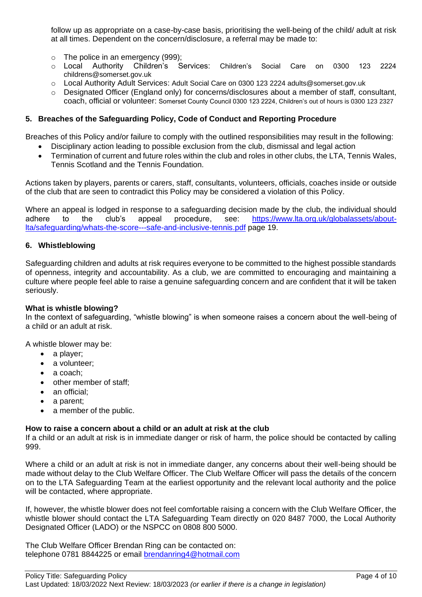follow up as appropriate on a case-by-case basis, prioritising the well-being of the child/ adult at risk at all times. Dependent on the concern/disclosure, a referral may be made to:

- o The police in an emergency (999);
- o Local Authority Children's Services: Children's Social Care on 0300 123 2224 childrens@somerset.gov.uk
- o Local Authority Adult Services: Adult Social Care on 0300 123 2224 adults@somerset.gov.uk
- $\circ$  Designated Officer (England only) for concerns/disclosures about a member of staff, consultant, coach, official or volunteer: Somerset County Council 0300 123 2224, Children's out of hours is 0300 123 2327

#### **5. Breaches of the Safeguarding Policy, Code of Conduct and Reporting Procedure**

Breaches of this Policy and/or failure to comply with the outlined responsibilities may result in the following:

- Disciplinary action leading to possible exclusion from the club, dismissal and legal action
- Termination of current and future roles within the club and roles in other clubs, the LTA, Tennis Wales, Tennis Scotland and the Tennis Foundation*.*

Actions taken by players, parents or carers, staff, consultants, volunteers, officials, coaches inside or outside of the club that are seen to contradict this Policy may be considered a violation of this Policy.

Where an appeal is lodged in response to a safeguarding decision made by the club, the individual should adhere to the club's appeal procedure, see: [https://www.lta.org.uk/globalassets/about](https://www.lta.org.uk/globalassets/about-lta/safeguarding/whats-the-score---safe-and-inclusive-tennis.pdf)[lta/safeguarding/whats-the-score---safe-and-inclusive-tennis.pdf](https://www.lta.org.uk/globalassets/about-lta/safeguarding/whats-the-score---safe-and-inclusive-tennis.pdf) page 19.

#### **6. Whistleblowing**

Safeguarding children and adults at risk requires everyone to be committed to the highest possible standards of openness, integrity and accountability. As a club, we are committed to encouraging and maintaining a culture where people feel able to raise a genuine safeguarding concern and are confident that it will be taken seriously.

#### **What is whistle blowing?**

In the context of safeguarding, "whistle blowing" is when someone raises a concern about the well-being of a child or an adult at risk.

A whistle blower may be:

- a player:
- a volunteer:
- a coach:
- other member of staff;
- an official;
- a parent;
- a member of the public.

#### **How to raise a concern about a child or an adult at risk at the club**

If a child or an adult at risk is in immediate danger or risk of harm, the police should be contacted by calling 999.

Where a child or an adult at risk is not in immediate danger, any concerns about their well-being should be made without delay to the Club Welfare Officer. The Club Welfare Officer will pass the details of the concern on to the LTA Safeguarding Team at the earliest opportunity and the relevant local authority and the police will be contacted, where appropriate.

If, however, the whistle blower does not feel comfortable raising a concern with the Club Welfare Officer, the whistle blower should contact the LTA Safeguarding Team directly on 020 8487 7000, the Local Authority Designated Officer (LADO) or the NSPCC on 0808 800 5000.

The Club Welfare Officer Brendan Ring can be contacted on: telephone 0781 8844225 or email **brendanring4@hotmail.com**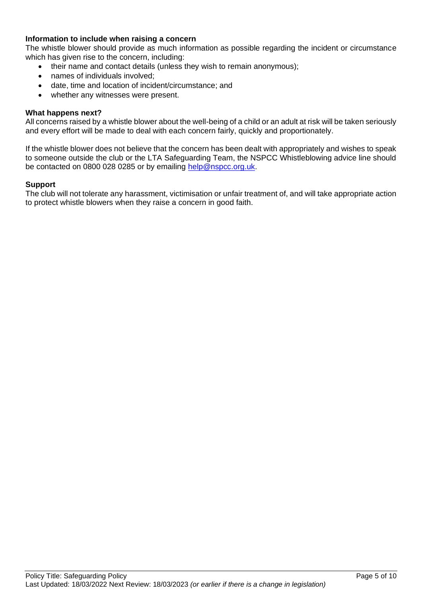#### **Information to include when raising a concern**

The whistle blower should provide as much information as possible regarding the incident or circumstance which has given rise to the concern, including:

- their name and contact details (unless they wish to remain anonymous);
- names of individuals involved:
- date, time and location of incident/circumstance; and
- whether any witnesses were present.

#### **What happens next?**

All concerns raised by a whistle blower about the well-being of a child or an adult at risk will be taken seriously and every effort will be made to deal with each concern fairly, quickly and proportionately.

If the whistle blower does not believe that the concern has been dealt with appropriately and wishes to speak to someone outside the club or the LTA Safeguarding Team, the NSPCC Whistleblowing advice line should be contacted on 0800 028 0285 or by emailing [help@nspcc.org.uk.](mailto:help@nspcc.org.uk)

#### **Support**

The club will not tolerate any harassment, victimisation or unfair treatment of, and will take appropriate action to protect whistle blowers when they raise a concern in good faith.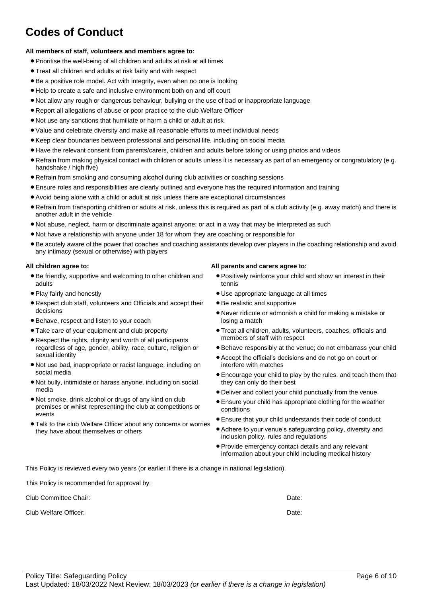# **Codes of Conduct**

#### **All members of staff, volunteers and members agree to:**

- Prioritise the well-being of all children and adults at risk at all times
- Treat all children and adults at risk fairly and with respect
- Be a positive role model. Act with integrity, even when no one is looking
- Help to create a safe and inclusive environment both on and off court
- Not allow any rough or dangerous behaviour, bullying or the use of bad or inappropriate language
- Report all allegations of abuse or poor practice to the club Welfare Officer
- Not use any sanctions that humiliate or harm a child or adult at risk
- Value and celebrate diversity and make all reasonable efforts to meet individual needs
- Keep clear boundaries between professional and personal life, including on social media
- Have the relevant consent from parents/carers, children and adults before taking or using photos and videos
- Refrain from making physical contact with children or adults unless it is necessary as part of an emergency or congratulatory (e.g. handshake / high five)
- Refrain from smoking and consuming alcohol during club activities or coaching sessions
- Ensure roles and responsibilities are clearly outlined and everyone has the required information and training
- Avoid being alone with a child or adult at risk unless there are exceptional circumstances
- Refrain from transporting children or adults at risk, unless this is required as part of a club activity (e.g. away match) and there is another adult in the vehicle
- Not abuse, neglect, harm or discriminate against anyone; or act in a way that may be interpreted as such
- Not have a relationship with anyone under 18 for whom they are coaching or responsible for
- Be acutely aware of the power that coaches and coaching assistants develop over players in the coaching relationship and avoid any intimacy (sexual or otherwise) with players

#### **All children agree to:**

- Be friendly, supportive and welcoming to other children and adults
- Play fairly and honestly
- Respect club staff, volunteers and Officials and accept their decisions
- Behave, respect and listen to your coach
- Take care of your equipment and club property
- Respect the rights, dignity and worth of all participants regardless of age, gender, ability, race, culture, religion or sexual identity
- Not use bad, inappropriate or racist language, including on social media
- Not bully, intimidate or harass anyone, including on social media
- Not smoke, drink alcohol or drugs of any kind on club premises or whilst representing the club at competitions or events
- Talk to the club Welfare Officer about any concerns or worries they have about themselves or others

#### **All parents and carers agree to:**

- Positively reinforce your child and show an interest in their tennis
- Use appropriate language at all times
- Be realistic and supportive
- Never ridicule or admonish a child for making a mistake or losing a match
- Treat all children, adults, volunteers, coaches, officials and members of staff with respect
- Behave responsibly at the venue; do not embarrass your child
- Accept the official's decisions and do not go on court or interfere with matches
- Encourage your child to play by the rules, and teach them that they can only do their best
- Deliver and collect your child punctually from the venue
- Ensure your child has appropriate clothing for the weather conditions
- Ensure that your child understands their code of conduct
- Adhere to your venue's safeguarding policy, diversity and inclusion policy, rules and regulations
- Provide emergency contact details and any relevant information about your child including medical history

This Policy is reviewed every two years (or earlier if there is a change in national legislation).

This Policy is recommended for approval by:

Club Committee Chair: Date:

Club Welfare Officer: **Date:** Date: **Date:** Date: **Date:** Date: **Date:** Date: **Date: Date: Date: Date: Date: Date: Date: Date: Date: Date: Date: Date: Date: Date: Date: Date: Date: Date:**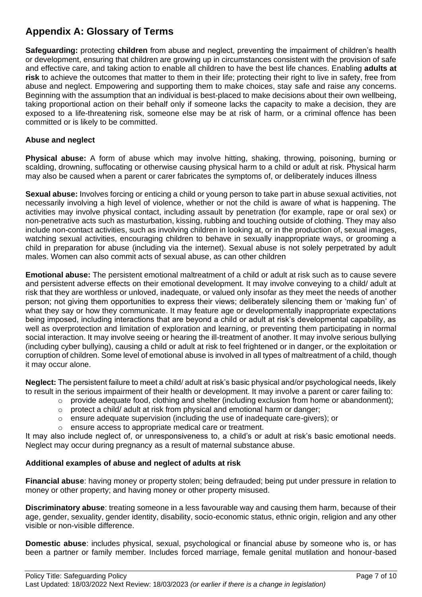# **Appendix A: Glossary of Terms**

**Safeguarding:** protecting **children** from abuse and neglect, preventing the impairment of children's health or development, ensuring that children are growing up in circumstances consistent with the provision of safe and effective care, and taking action to enable all children to have the best life chances. Enabling **adults at risk** to achieve the outcomes that matter to them in their life; protecting their right to live in safety, free from abuse and neglect. Empowering and supporting them to make choices, stay safe and raise any concerns. Beginning with the assumption that an individual is best-placed to make decisions about their own wellbeing, taking proportional action on their behalf only if someone lacks the capacity to make a decision, they are exposed to a life-threatening risk, someone else may be at risk of harm, or a criminal offence has been committed or is likely to be committed.

#### **Abuse and neglect**

**Physical abuse:** A form of abuse which may involve hitting, shaking, throwing, poisoning, burning or scalding, drowning, suffocating or otherwise causing physical harm to a child or adult at risk. Physical harm may also be caused when a parent or carer fabricates the symptoms of, or deliberately induces illness

**Sexual abuse:** Involves forcing or enticing a child or young person to take part in abuse sexual activities, not necessarily involving a high level of violence, whether or not the child is aware of what is happening. The activities may involve physical contact, including assault by penetration (for example, rape or oral sex) or non-penetrative acts such as masturbation, kissing, rubbing and touching outside of clothing. They may also include non-contact activities, such as involving children in looking at, or in the production of, sexual images, watching sexual activities, encouraging children to behave in sexually inappropriate ways, or grooming a child in preparation for abuse (including via the internet). Sexual abuse is not solely perpetrated by adult males. Women can also commit acts of sexual abuse, as can other children

**Emotional abuse:** The persistent emotional maltreatment of a child or adult at risk such as to cause severe and persistent adverse effects on their emotional development. It may involve conveying to a child/ adult at risk that they are worthless or unloved, inadequate, or valued only insofar as they meet the needs of another person; not giving them opportunities to express their views; deliberately silencing them or 'making fun' of what they say or how they communicate. It may feature age or developmentally inappropriate expectations being imposed, including interactions that are beyond a child or adult at risk's developmental capability, as well as overprotection and limitation of exploration and learning, or preventing them participating in normal social interaction. It may involve seeing or hearing the ill-treatment of another. It may involve serious bullying (including cyber bullying), causing a child or adult at risk to feel frightened or in danger, or the exploitation or corruption of children. Some level of emotional abuse is involved in all types of maltreatment of a child, though it may occur alone.

**Neglect:** The persistent failure to meet a child/ adult at risk's basic physical and/or psychological needs, likely to result in the serious impairment of their health or development. It may involve a parent or carer failing to:

- o provide adequate food, clothing and shelter (including exclusion from home or abandonment);
- o protect a child/ adult at risk from physical and emotional harm or danger;
- $\circ$  ensure adequate supervision (including the use of inadequate care-givers); or
- ensure access to appropriate medical care or treatment.

It may also include neglect of, or unresponsiveness to, a child's or adult at risk's basic emotional needs. Neglect may occur during pregnancy as a result of maternal substance abuse.

#### **Additional examples of abuse and neglect of adults at risk**

**Financial abuse**: having money or property stolen; being defrauded; being put under pressure in relation to money or other property; and having money or other property misused.

**Discriminatory abuse**: treating someone in a less favourable way and causing them harm, because of their age, gender, sexuality, gender identity, disability, socio-economic status, ethnic origin, religion and any other visible or non-visible difference.

**Domestic abuse**: includes physical, sexual, psychological or financial abuse by someone who is, or has been a partner or family member. Includes forced marriage, female genital mutilation and honour-based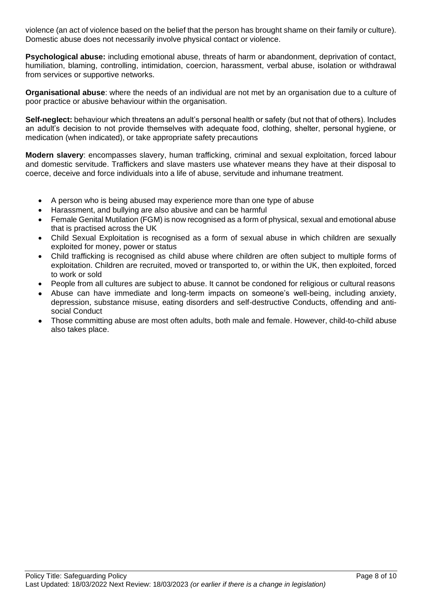violence (an act of violence based on the belief that the person has brought shame on their family or culture). Domestic abuse does not necessarily involve physical contact or violence.

**Psychological abuse:** including emotional abuse, threats of harm or abandonment, deprivation of contact, humiliation, blaming, controlling, intimidation, coercion, harassment, verbal abuse, isolation or withdrawal from services or supportive networks.

**Organisational abuse**: where the needs of an individual are not met by an organisation due to a culture of poor practice or abusive behaviour within the organisation.

**Self-neglect:** behaviour which threatens an adult's personal health or safety (but not that of others). Includes an adult's decision to not provide themselves with adequate food, clothing, shelter, personal hygiene, or medication (when indicated), or take appropriate safety precautions

**Modern slavery**: encompasses slavery, human trafficking, criminal and sexual exploitation, forced labour and domestic servitude. Traffickers and slave masters use whatever means they have at their disposal to coerce, deceive and force individuals into a life of abuse, servitude and inhumane treatment.

- A person who is being abused may experience more than one type of abuse
- Harassment, and bullying are also abusive and can be harmful
- Female Genital Mutilation (FGM) is now recognised as a form of physical, sexual and emotional abuse that is practised across the UK
- Child Sexual Exploitation is recognised as a form of sexual abuse in which children are sexually exploited for money, power or status
- Child trafficking is recognised as child abuse where children are often subject to multiple forms of exploitation. Children are recruited, moved or transported to, or within the UK, then exploited, forced to work or sold
- People from all cultures are subject to abuse. It cannot be condoned for religious or cultural reasons
- Abuse can have immediate and long-term impacts on someone's well-being, including anxiety, depression, substance misuse, eating disorders and self-destructive Conducts, offending and antisocial Conduct
- Those committing abuse are most often adults, both male and female. However, child-to-child abuse also takes place.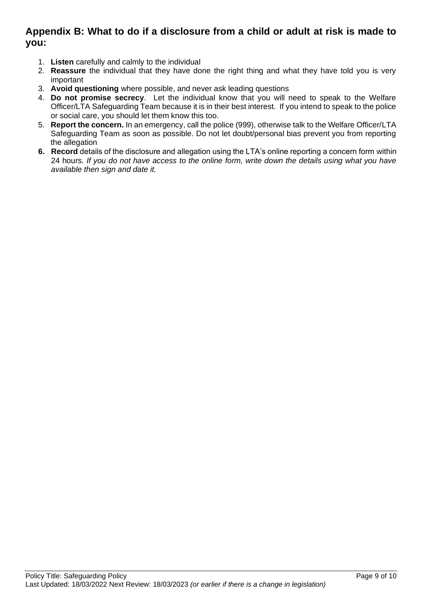### **Appendix B: What to do if a disclosure from a child or adult at risk is made to you:**

- 1. **Listen** carefully and calmly to the individual
- 2. **Reassure** the individual that they have done the right thing and what they have told you is very important
- 3. **Avoid questioning** where possible, and never ask leading questions
- 4. **Do not promise secrecy**. Let the individual know that you will need to speak to the Welfare Officer/LTA Safeguarding Team because it is in their best interest. If you intend to speak to the police or social care, you should let them know this too.
- 5. **Report the concern.** In an emergency, call the police (999), otherwise talk to the Welfare Officer/LTA Safeguarding Team as soon as possible. Do not let doubt/personal bias prevent you from reporting the allegation
- **6. Record** details of the disclosure and allegation using the LTA's online reporting a concern form within 24 hours*. If you do not have access to the online form, write down the details using what you have available then sign and date it.*